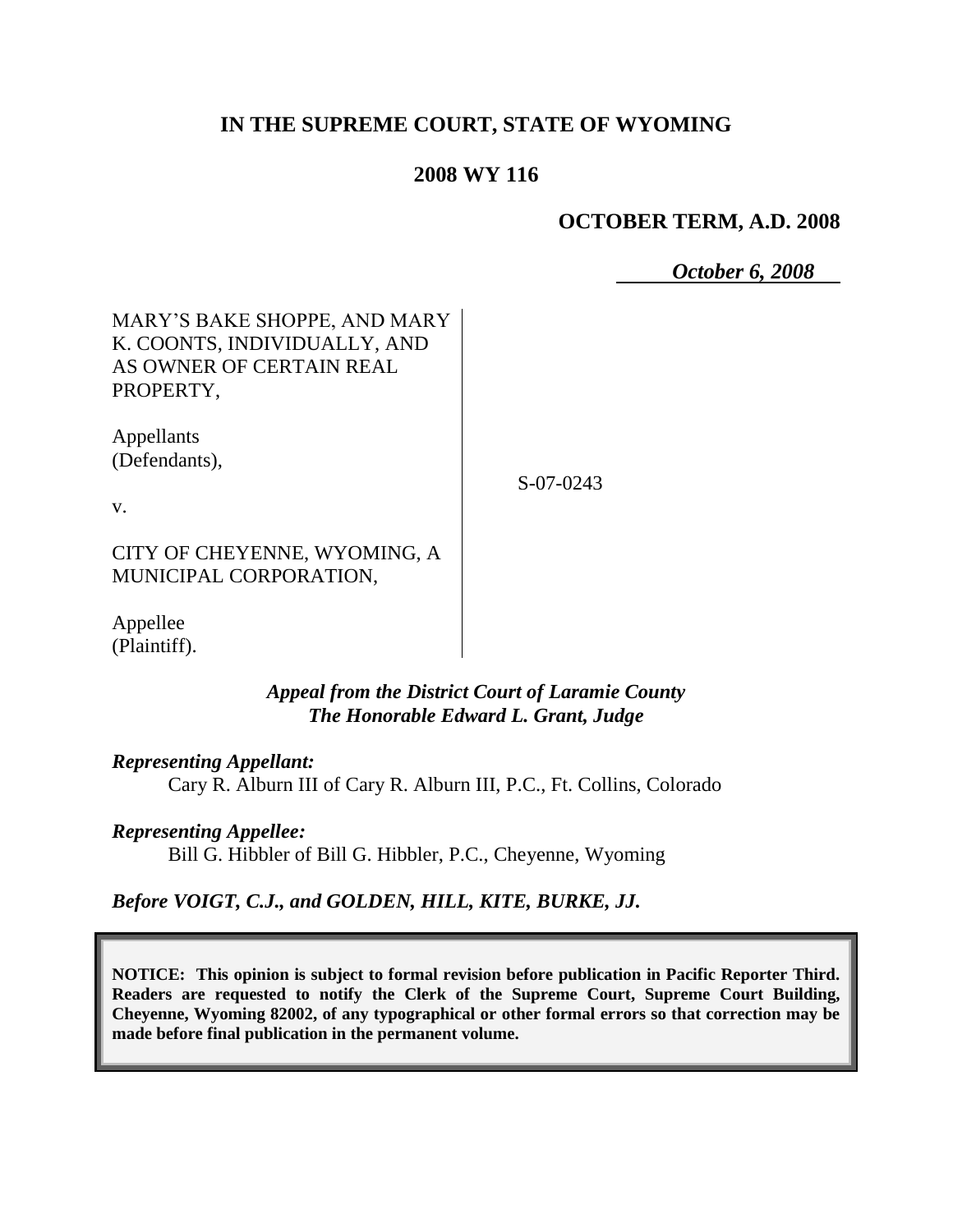# **IN THE SUPREME COURT, STATE OF WYOMING**

## **2008 WY 116**

### **OCTOBER TERM, A.D. 2008**

*October 6, 2008*

MARY'S BAKE SHOPPE, AND MARY K. COONTS, INDIVIDUALLY, AND AS OWNER OF CERTAIN REAL PROPERTY,

Appellants (Defendants),

S-07-0243

v.

CITY OF CHEYENNE, WYOMING, A MUNICIPAL CORPORATION,

Appellee (Plaintiff).

#### *Appeal from the District Court of Laramie County The Honorable Edward L. Grant, Judge*

*Representing Appellant:* Cary R. Alburn III of Cary R. Alburn III, P.C., Ft. Collins, Colorado

#### *Representing Appellee:*

Bill G. Hibbler of Bill G. Hibbler, P.C., Cheyenne, Wyoming

## *Before VOIGT, C.J., and GOLDEN, HILL, KITE, BURKE, JJ.*

**NOTICE: This opinion is subject to formal revision before publication in Pacific Reporter Third. Readers are requested to notify the Clerk of the Supreme Court, Supreme Court Building, Cheyenne, Wyoming 82002, of any typographical or other formal errors so that correction may be made before final publication in the permanent volume.**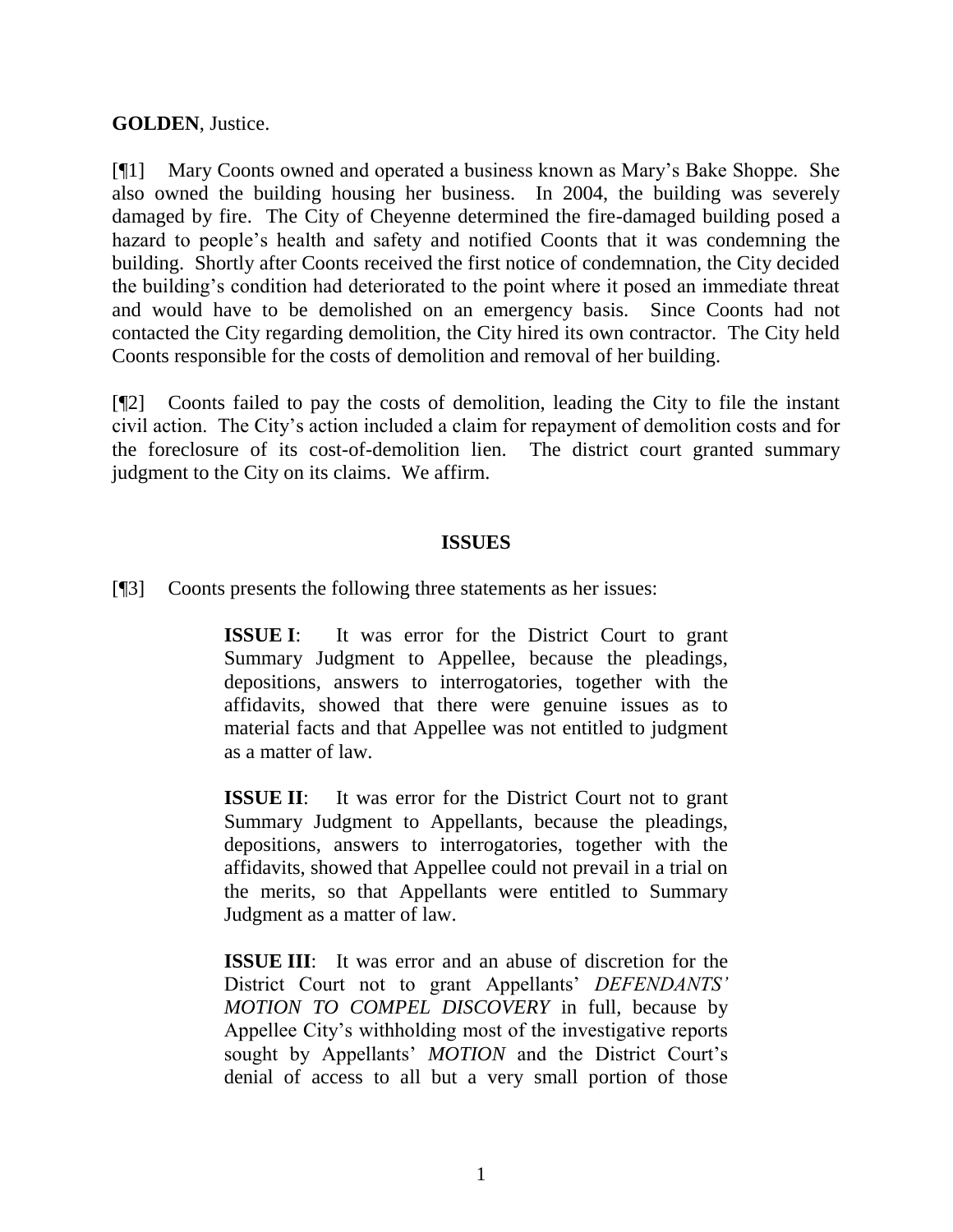### **GOLDEN**, Justice.

[¶1] Mary Coonts owned and operated a business known as Mary's Bake Shoppe. She also owned the building housing her business. In 2004, the building was severely damaged by fire. The City of Cheyenne determined the fire-damaged building posed a hazard to people's health and safety and notified Coonts that it was condemning the building. Shortly after Coonts received the first notice of condemnation, the City decided the building's condition had deteriorated to the point where it posed an immediate threat and would have to be demolished on an emergency basis. Since Coonts had not contacted the City regarding demolition, the City hired its own contractor. The City held Coonts responsible for the costs of demolition and removal of her building.

[¶2] Coonts failed to pay the costs of demolition, leading the City to file the instant civil action. The City's action included a claim for repayment of demolition costs and for the foreclosure of its cost-of-demolition lien. The district court granted summary judgment to the City on its claims. We affirm.

#### **ISSUES**

[¶3] Coonts presents the following three statements as her issues:

**ISSUE I:** It was error for the District Court to grant Summary Judgment to Appellee, because the pleadings, depositions, answers to interrogatories, together with the affidavits, showed that there were genuine issues as to material facts and that Appellee was not entitled to judgment as a matter of law.

**ISSUE II:** It was error for the District Court not to grant Summary Judgment to Appellants, because the pleadings, depositions, answers to interrogatories, together with the affidavits, showed that Appellee could not prevail in a trial on the merits, so that Appellants were entitled to Summary Judgment as a matter of law.

**ISSUE III:** It was error and an abuse of discretion for the District Court not to grant Appellants' *DEFENDANTS' MOTION TO COMPEL DISCOVERY* in full, because by Appellee City's withholding most of the investigative reports sought by Appellants' *MOTION* and the District Court's denial of access to all but a very small portion of those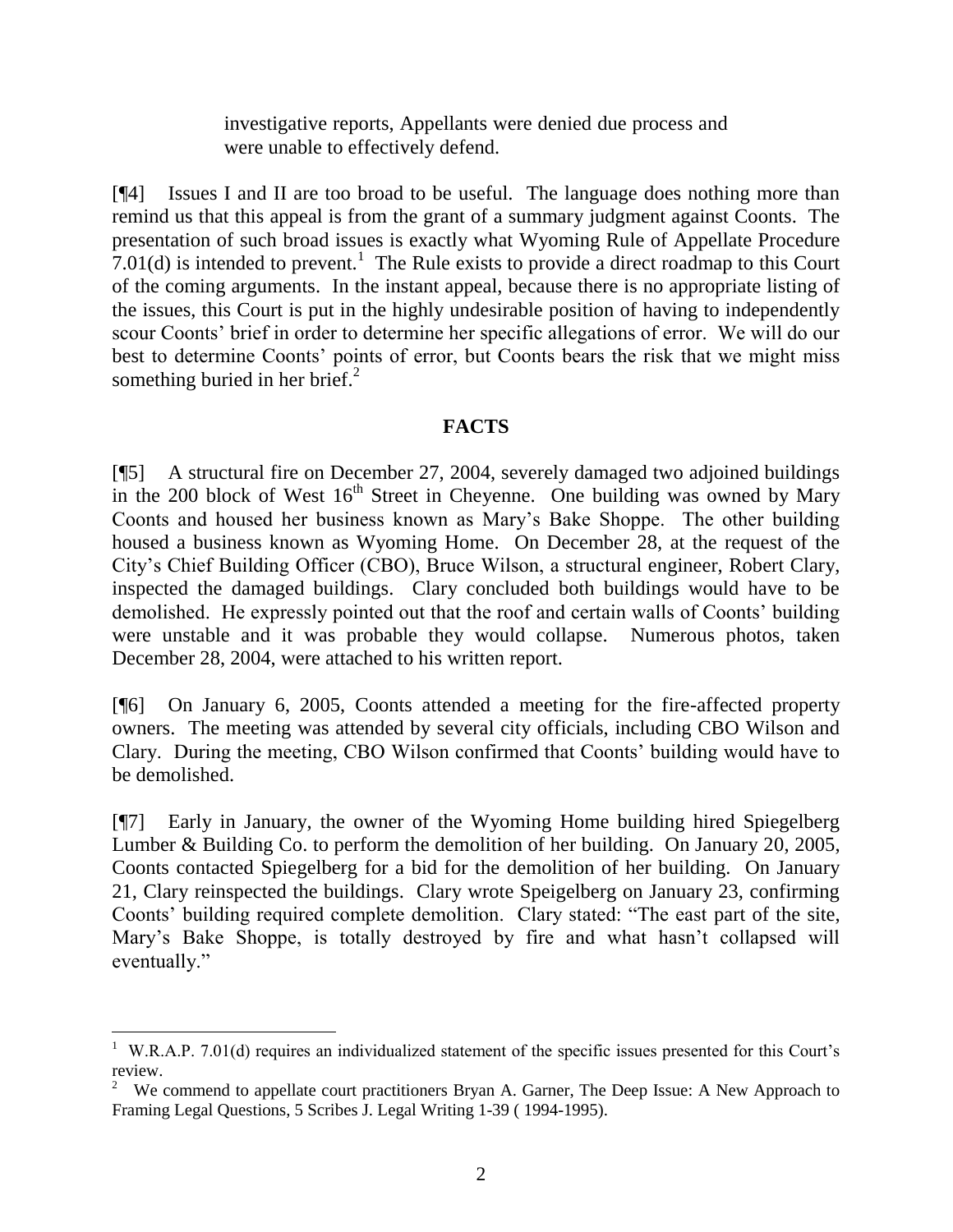investigative reports, Appellants were denied due process and were unable to effectively defend.

[¶4] Issues I and II are too broad to be useful. The language does nothing more than remind us that this appeal is from the grant of a summary judgment against Coonts. The presentation of such broad issues is exactly what Wyoming Rule of Appellate Procedure 7.01(d) is intended to prevent.<sup>1</sup> The Rule exists to provide a direct roadmap to this Court of the coming arguments. In the instant appeal, because there is no appropriate listing of the issues, this Court is put in the highly undesirable position of having to independently scour Coonts' brief in order to determine her specific allegations of error. We will do our best to determine Coonts' points of error, but Coonts bears the risk that we might miss something buried in her brief. $<sup>2</sup>$ </sup>

# **FACTS**

[¶5] A structural fire on December 27, 2004, severely damaged two adjoined buildings in the 200 block of West  $16<sup>th</sup>$  Street in Cheyenne. One building was owned by Mary Coonts and housed her business known as Mary's Bake Shoppe. The other building housed a business known as Wyoming Home. On December 28, at the request of the City's Chief Building Officer (CBO), Bruce Wilson, a structural engineer, Robert Clary, inspected the damaged buildings. Clary concluded both buildings would have to be demolished. He expressly pointed out that the roof and certain walls of Coonts' building were unstable and it was probable they would collapse. Numerous photos, taken December 28, 2004, were attached to his written report.

[¶6] On January 6, 2005, Coonts attended a meeting for the fire-affected property owners. The meeting was attended by several city officials, including CBO Wilson and Clary. During the meeting, CBO Wilson confirmed that Coonts' building would have to be demolished.

[¶7] Early in January, the owner of the Wyoming Home building hired Spiegelberg Lumber & Building Co. to perform the demolition of her building. On January 20, 2005, Coonts contacted Spiegelberg for a bid for the demolition of her building. On January 21, Clary reinspected the buildings. Clary wrote Speigelberg on January 23, confirming Coonts' building required complete demolition. Clary stated: "The east part of the site, Mary's Bake Shoppe, is totally destroyed by fire and what hasn't collapsed will eventually."

<sup>&</sup>lt;sup>1</sup> W.R.A.P. 7.01(d) requires an individualized statement of the specific issues presented for this Court's review.

<sup>2</sup> We commend to appellate court practitioners Bryan A. Garner, The Deep Issue: A New Approach to Framing Legal Questions, 5 Scribes J. Legal Writing 1-39 ( 1994-1995).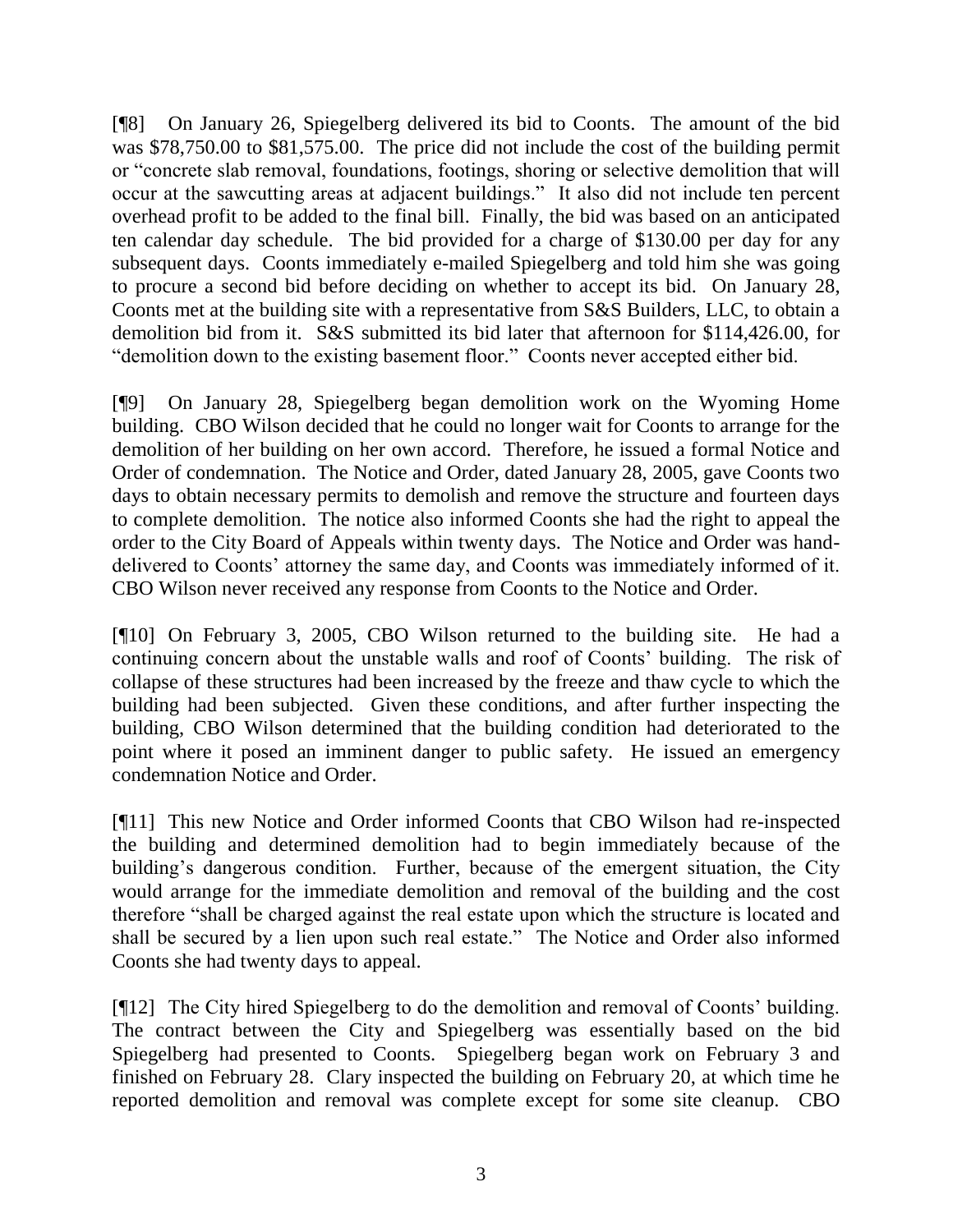[¶8] On January 26, Spiegelberg delivered its bid to Coonts. The amount of the bid was \$78,750.00 to \$81,575.00. The price did not include the cost of the building permit or "concrete slab removal, foundations, footings, shoring or selective demolition that will occur at the sawcutting areas at adjacent buildings." It also did not include ten percent overhead profit to be added to the final bill. Finally, the bid was based on an anticipated ten calendar day schedule. The bid provided for a charge of \$130.00 per day for any subsequent days. Coonts immediately e-mailed Spiegelberg and told him she was going to procure a second bid before deciding on whether to accept its bid. On January 28, Coonts met at the building site with a representative from S&S Builders, LLC, to obtain a demolition bid from it. S&S submitted its bid later that afternoon for \$114,426.00, for "demolition down to the existing basement floor." Coonts never accepted either bid.

[¶9] On January 28, Spiegelberg began demolition work on the Wyoming Home building. CBO Wilson decided that he could no longer wait for Coonts to arrange for the demolition of her building on her own accord. Therefore, he issued a formal Notice and Order of condemnation. The Notice and Order, dated January 28, 2005, gave Coonts two days to obtain necessary permits to demolish and remove the structure and fourteen days to complete demolition. The notice also informed Coonts she had the right to appeal the order to the City Board of Appeals within twenty days. The Notice and Order was handdelivered to Coonts' attorney the same day, and Coonts was immediately informed of it. CBO Wilson never received any response from Coonts to the Notice and Order.

[¶10] On February 3, 2005, CBO Wilson returned to the building site. He had a continuing concern about the unstable walls and roof of Coonts' building. The risk of collapse of these structures had been increased by the freeze and thaw cycle to which the building had been subjected. Given these conditions, and after further inspecting the building, CBO Wilson determined that the building condition had deteriorated to the point where it posed an imminent danger to public safety. He issued an emergency condemnation Notice and Order.

[¶11] This new Notice and Order informed Coonts that CBO Wilson had re-inspected the building and determined demolition had to begin immediately because of the building's dangerous condition. Further, because of the emergent situation, the City would arrange for the immediate demolition and removal of the building and the cost therefore "shall be charged against the real estate upon which the structure is located and shall be secured by a lien upon such real estate." The Notice and Order also informed Coonts she had twenty days to appeal.

[¶12] The City hired Spiegelberg to do the demolition and removal of Coonts' building. The contract between the City and Spiegelberg was essentially based on the bid Spiegelberg had presented to Coonts. Spiegelberg began work on February 3 and finished on February 28. Clary inspected the building on February 20, at which time he reported demolition and removal was complete except for some site cleanup. CBO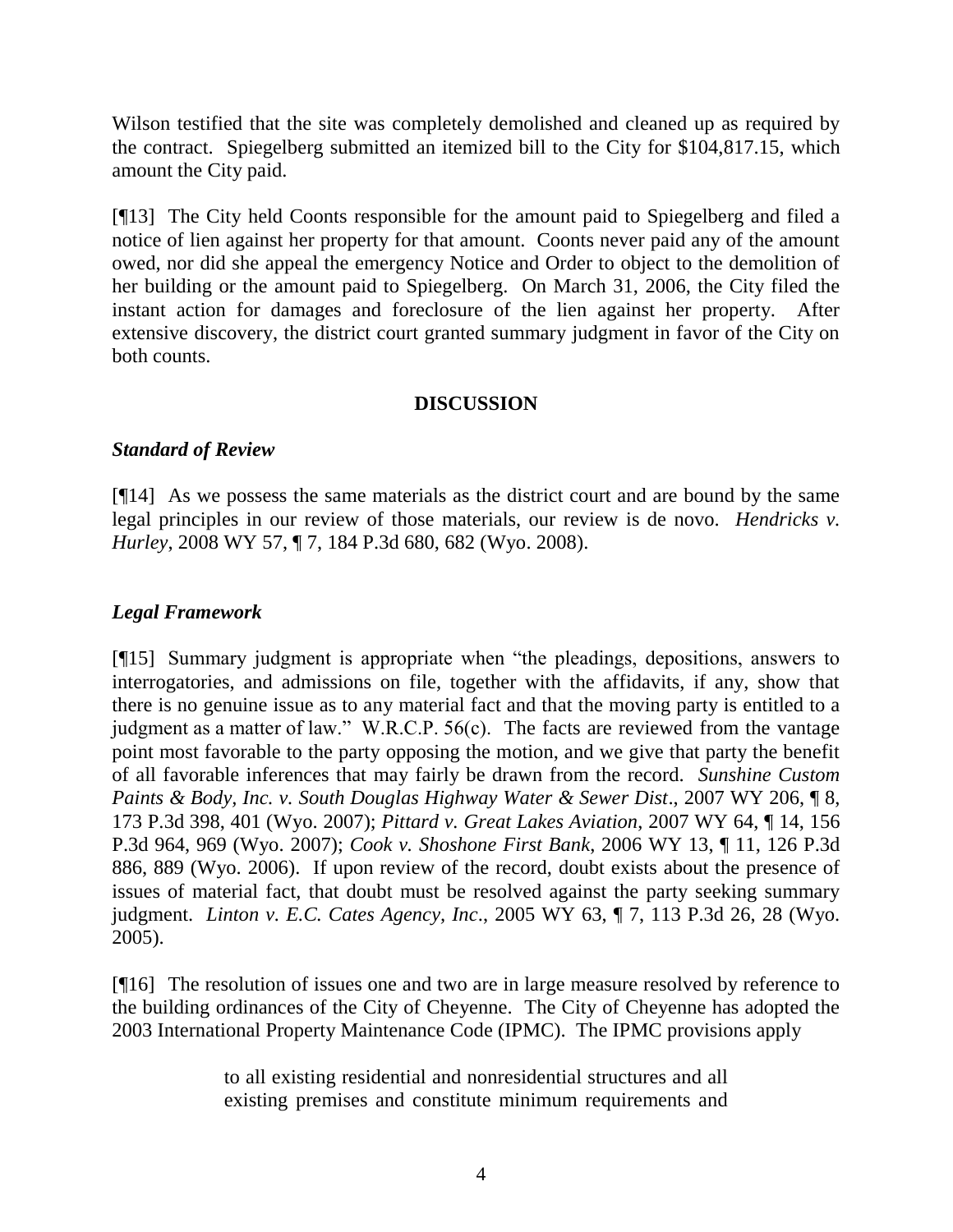Wilson testified that the site was completely demolished and cleaned up as required by the contract. Spiegelberg submitted an itemized bill to the City for \$104,817.15, which amount the City paid.

[¶13] The City held Coonts responsible for the amount paid to Spiegelberg and filed a notice of lien against her property for that amount. Coonts never paid any of the amount owed, nor did she appeal the emergency Notice and Order to object to the demolition of her building or the amount paid to Spiegelberg. On March 31, 2006, the City filed the instant action for damages and foreclosure of the lien against her property. After extensive discovery, the district court granted summary judgment in favor of the City on both counts.

## **DISCUSSION**

### *Standard of Review*

[¶14] As we possess the same materials as the district court and are bound by the same legal principles in our review of those materials, our review is de novo. *Hendricks v. Hurley*, 2008 WY 57, ¶ 7, 184 P.3d 680, 682 (Wyo. 2008).

### *Legal Framework*

[¶15] Summary judgment is appropriate when "the pleadings, depositions, answers to interrogatories, and admissions on file, together with the affidavits, if any, show that there is no genuine issue as to any material fact and that the moving party is entitled to a judgment as a matter of law." W.R.C.P. 56(c). The facts are reviewed from the vantage point most favorable to the party opposing the motion, and we give that party the benefit of all favorable inferences that may fairly be drawn from the record. *Sunshine Custom Paints & Body, Inc. v. South Douglas Highway Water & Sewer Dist*., 2007 WY 206, ¶ 8, 173 P.3d 398, 401 (Wyo. 2007); *Pittard v. Great Lakes Aviation*, 2007 WY 64, ¶ 14, 156 P.3d 964, 969 (Wyo. 2007); *Cook v. Shoshone First Bank*, 2006 WY 13, ¶ 11, 126 P.3d 886, 889 (Wyo. 2006). If upon review of the record, doubt exists about the presence of issues of material fact, that doubt must be resolved against the party seeking summary judgment. *Linton v. E.C. Cates Agency, Inc*., 2005 WY 63, ¶ 7, 113 P.3d 26, 28 (Wyo. 2005).

[¶16] The resolution of issues one and two are in large measure resolved by reference to the building ordinances of the City of Cheyenne. The City of Cheyenne has adopted the 2003 International Property Maintenance Code (IPMC). The IPMC provisions apply

> to all existing residential and nonresidential structures and all existing premises and constitute minimum requirements and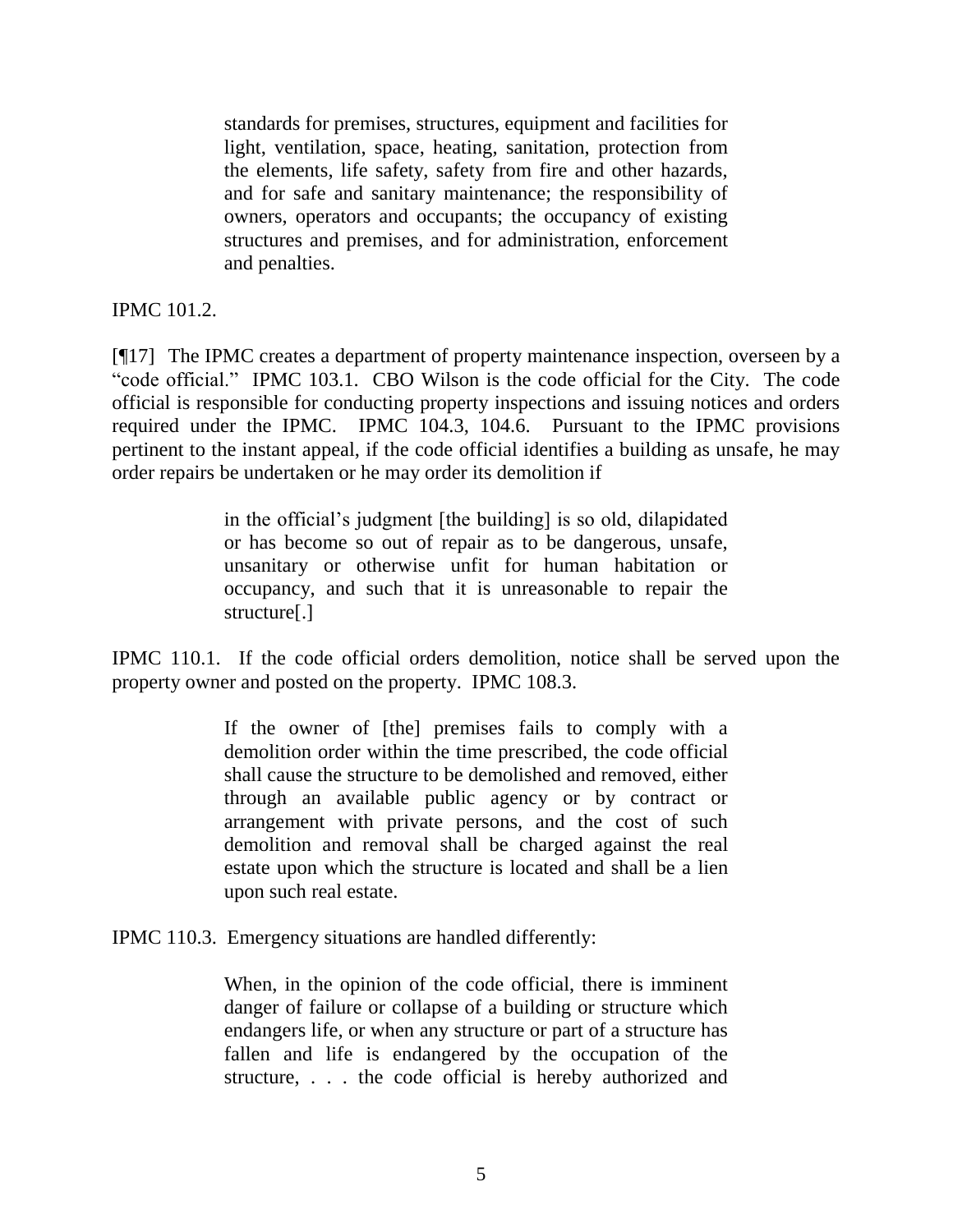standards for premises, structures, equipment and facilities for light, ventilation, space, heating, sanitation, protection from the elements, life safety, safety from fire and other hazards, and for safe and sanitary maintenance; the responsibility of owners, operators and occupants; the occupancy of existing structures and premises, and for administration, enforcement and penalties.

IPMC 101.2.

[¶17] The IPMC creates a department of property maintenance inspection, overseen by a "code official." IPMC 103.1. CBO Wilson is the code official for the City. The code official is responsible for conducting property inspections and issuing notices and orders required under the IPMC. IPMC 104.3, 104.6. Pursuant to the IPMC provisions pertinent to the instant appeal, if the code official identifies a building as unsafe, he may order repairs be undertaken or he may order its demolition if

> in the official's judgment [the building] is so old, dilapidated or has become so out of repair as to be dangerous, unsafe, unsanitary or otherwise unfit for human habitation or occupancy, and such that it is unreasonable to repair the structure[.]

IPMC 110.1. If the code official orders demolition, notice shall be served upon the property owner and posted on the property. IPMC 108.3.

> If the owner of [the] premises fails to comply with a demolition order within the time prescribed, the code official shall cause the structure to be demolished and removed, either through an available public agency or by contract or arrangement with private persons, and the cost of such demolition and removal shall be charged against the real estate upon which the structure is located and shall be a lien upon such real estate.

IPMC 110.3. Emergency situations are handled differently:

When, in the opinion of the code official, there is imminent danger of failure or collapse of a building or structure which endangers life, or when any structure or part of a structure has fallen and life is endangered by the occupation of the structure, . . . the code official is hereby authorized and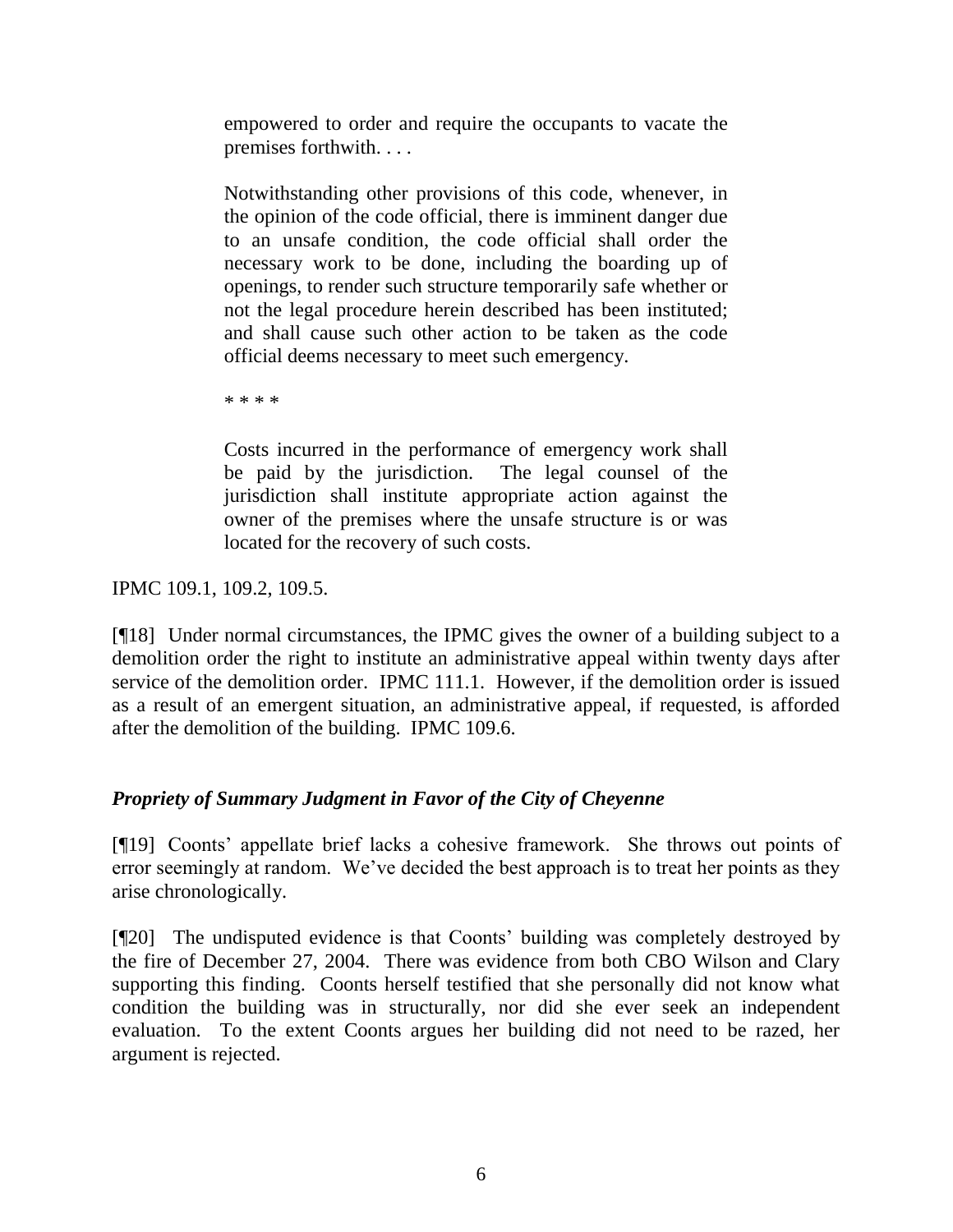empowered to order and require the occupants to vacate the premises forthwith. . . .

Notwithstanding other provisions of this code, whenever, in the opinion of the code official, there is imminent danger due to an unsafe condition, the code official shall order the necessary work to be done, including the boarding up of openings, to render such structure temporarily safe whether or not the legal procedure herein described has been instituted; and shall cause such other action to be taken as the code official deems necessary to meet such emergency.

\* \* \* \*

Costs incurred in the performance of emergency work shall be paid by the jurisdiction. The legal counsel of the jurisdiction shall institute appropriate action against the owner of the premises where the unsafe structure is or was located for the recovery of such costs.

IPMC 109.1, 109.2, 109.5.

[¶18] Under normal circumstances, the IPMC gives the owner of a building subject to a demolition order the right to institute an administrative appeal within twenty days after service of the demolition order. IPMC 111.1. However, if the demolition order is issued as a result of an emergent situation, an administrative appeal, if requested, is afforded after the demolition of the building. IPMC 109.6.

# *Propriety of Summary Judgment in Favor of the City of Cheyenne*

[¶19] Coonts' appellate brief lacks a cohesive framework. She throws out points of error seemingly at random. We've decided the best approach is to treat her points as they arise chronologically.

[¶20] The undisputed evidence is that Coonts' building was completely destroyed by the fire of December 27, 2004. There was evidence from both CBO Wilson and Clary supporting this finding. Coonts herself testified that she personally did not know what condition the building was in structurally, nor did she ever seek an independent evaluation. To the extent Coonts argues her building did not need to be razed, her argument is rejected.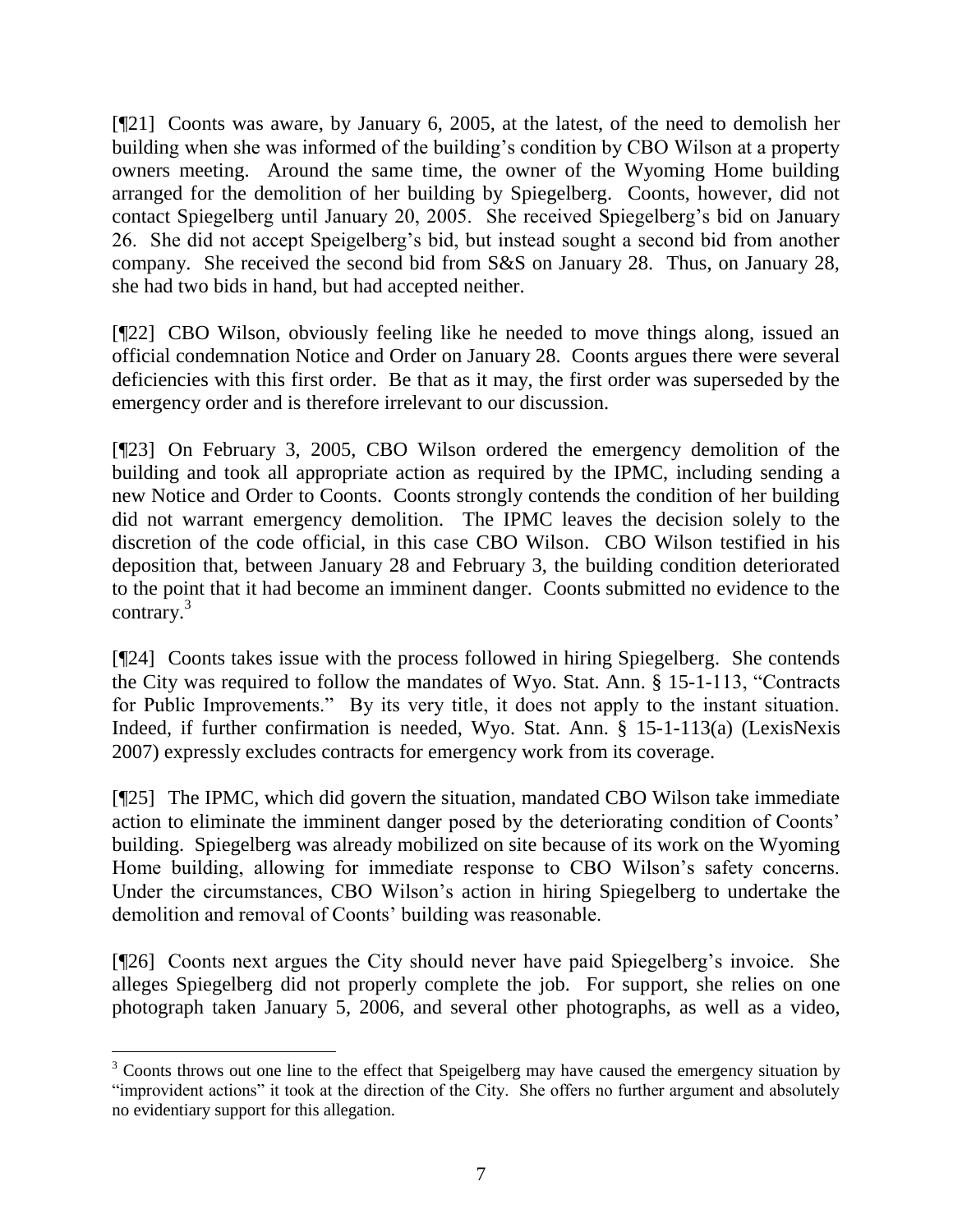[¶21] Coonts was aware, by January 6, 2005, at the latest, of the need to demolish her building when she was informed of the building's condition by CBO Wilson at a property owners meeting. Around the same time, the owner of the Wyoming Home building arranged for the demolition of her building by Spiegelberg. Coonts, however, did not contact Spiegelberg until January 20, 2005. She received Spiegelberg's bid on January 26. She did not accept Speigelberg's bid, but instead sought a second bid from another company. She received the second bid from S&S on January 28. Thus, on January 28, she had two bids in hand, but had accepted neither.

[¶22] CBO Wilson, obviously feeling like he needed to move things along, issued an official condemnation Notice and Order on January 28. Coonts argues there were several deficiencies with this first order. Be that as it may, the first order was superseded by the emergency order and is therefore irrelevant to our discussion.

[¶23] On February 3, 2005, CBO Wilson ordered the emergency demolition of the building and took all appropriate action as required by the IPMC, including sending a new Notice and Order to Coonts. Coonts strongly contends the condition of her building did not warrant emergency demolition. The IPMC leaves the decision solely to the discretion of the code official, in this case CBO Wilson. CBO Wilson testified in his deposition that, between January 28 and February 3, the building condition deteriorated to the point that it had become an imminent danger. Coonts submitted no evidence to the contrary.<sup>3</sup>

[¶24] Coonts takes issue with the process followed in hiring Spiegelberg. She contends the City was required to follow the mandates of Wyo. Stat. Ann. § 15-1-113, "Contracts for Public Improvements." By its very title, it does not apply to the instant situation. Indeed, if further confirmation is needed, Wyo. Stat. Ann. § 15-1-113(a) (LexisNexis 2007) expressly excludes contracts for emergency work from its coverage.

[¶25] The IPMC, which did govern the situation, mandated CBO Wilson take immediate action to eliminate the imminent danger posed by the deteriorating condition of Coonts' building. Spiegelberg was already mobilized on site because of its work on the Wyoming Home building, allowing for immediate response to CBO Wilson's safety concerns. Under the circumstances, CBO Wilson's action in hiring Spiegelberg to undertake the demolition and removal of Coonts' building was reasonable.

[¶26] Coonts next argues the City should never have paid Spiegelberg's invoice. She alleges Spiegelberg did not properly complete the job. For support, she relies on one photograph taken January 5, 2006, and several other photographs, as well as a video,

 <sup>3</sup> Coonts throws out one line to the effect that Speigelberg may have caused the emergency situation by "improvident actions" it took at the direction of the City. She offers no further argument and absolutely no evidentiary support for this allegation.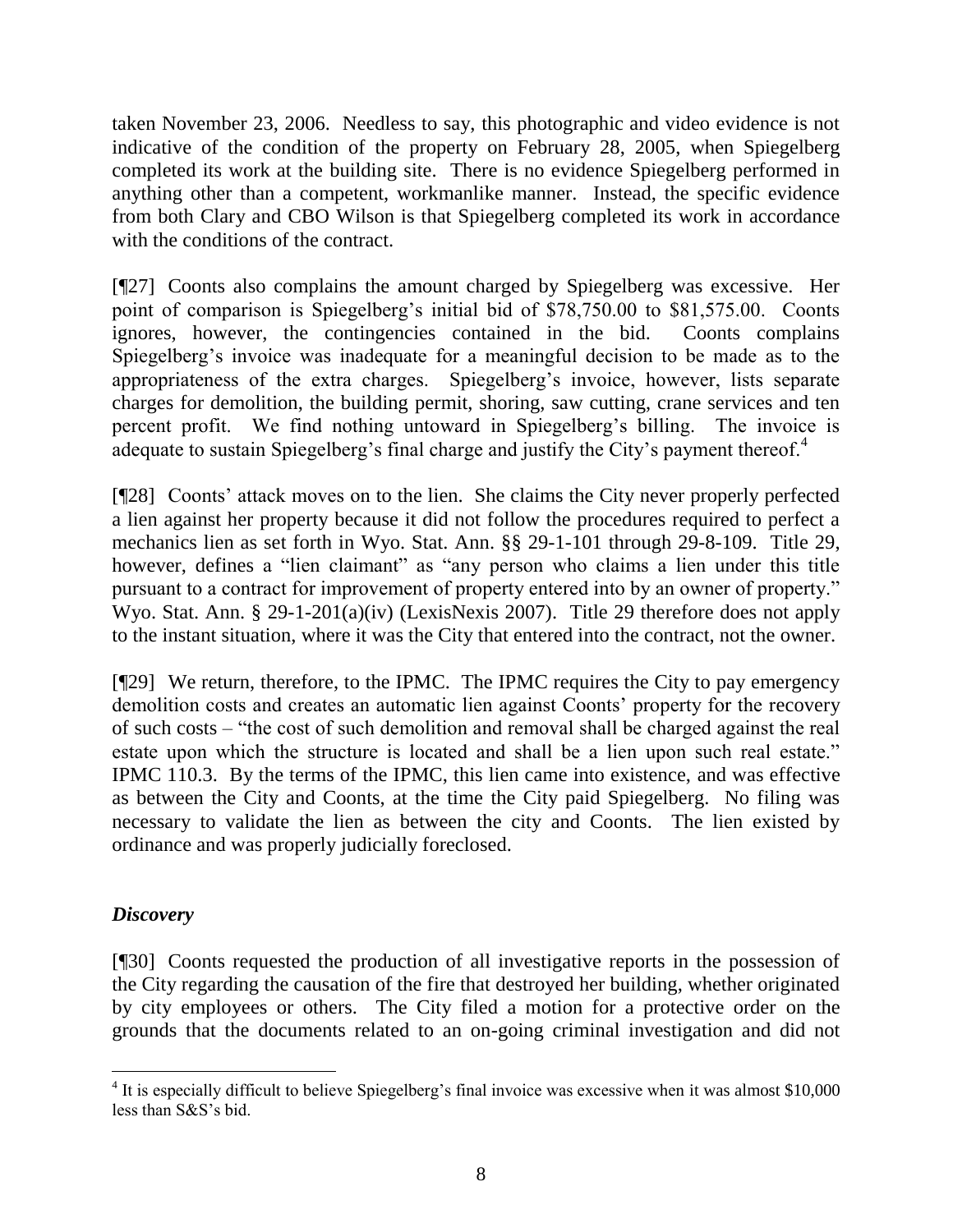taken November 23, 2006. Needless to say, this photographic and video evidence is not indicative of the condition of the property on February 28, 2005, when Spiegelberg completed its work at the building site. There is no evidence Spiegelberg performed in anything other than a competent, workmanlike manner. Instead, the specific evidence from both Clary and CBO Wilson is that Spiegelberg completed its work in accordance with the conditions of the contract.

[¶27] Coonts also complains the amount charged by Spiegelberg was excessive. Her point of comparison is Spiegelberg's initial bid of \$78,750.00 to \$81,575.00. Coonts ignores, however, the contingencies contained in the bid. Coonts complains Spiegelberg's invoice was inadequate for a meaningful decision to be made as to the appropriateness of the extra charges. Spiegelberg's invoice, however, lists separate charges for demolition, the building permit, shoring, saw cutting, crane services and ten percent profit. We find nothing untoward in Spiegelberg's billing. The invoice is adequate to sustain Spiegelberg's final charge and justify the City's payment thereof.<sup>4</sup>

[¶28] Coonts' attack moves on to the lien. She claims the City never properly perfected a lien against her property because it did not follow the procedures required to perfect a mechanics lien as set forth in Wyo. Stat. Ann. §§ 29-1-101 through 29-8-109. Title 29, however, defines a "lien claimant" as "any person who claims a lien under this title pursuant to a contract for improvement of property entered into by an owner of property." Wyo. Stat. Ann. § 29-1-201(a)(iv) (LexisNexis 2007). Title 29 therefore does not apply to the instant situation, where it was the City that entered into the contract, not the owner.

[¶29] We return, therefore, to the IPMC. The IPMC requires the City to pay emergency demolition costs and creates an automatic lien against Coonts' property for the recovery of such costs – "the cost of such demolition and removal shall be charged against the real estate upon which the structure is located and shall be a lien upon such real estate." IPMC 110.3. By the terms of the IPMC, this lien came into existence, and was effective as between the City and Coonts, at the time the City paid Spiegelberg. No filing was necessary to validate the lien as between the city and Coonts. The lien existed by ordinance and was properly judicially foreclosed.

## *Discovery*

l

[¶30] Coonts requested the production of all investigative reports in the possession of the City regarding the causation of the fire that destroyed her building, whether originated by city employees or others. The City filed a motion for a protective order on the grounds that the documents related to an on-going criminal investigation and did not

<sup>&</sup>lt;sup>4</sup> It is especially difficult to believe Spiegelberg's final invoice was excessive when it was almost \$10,000 less than S&S's bid.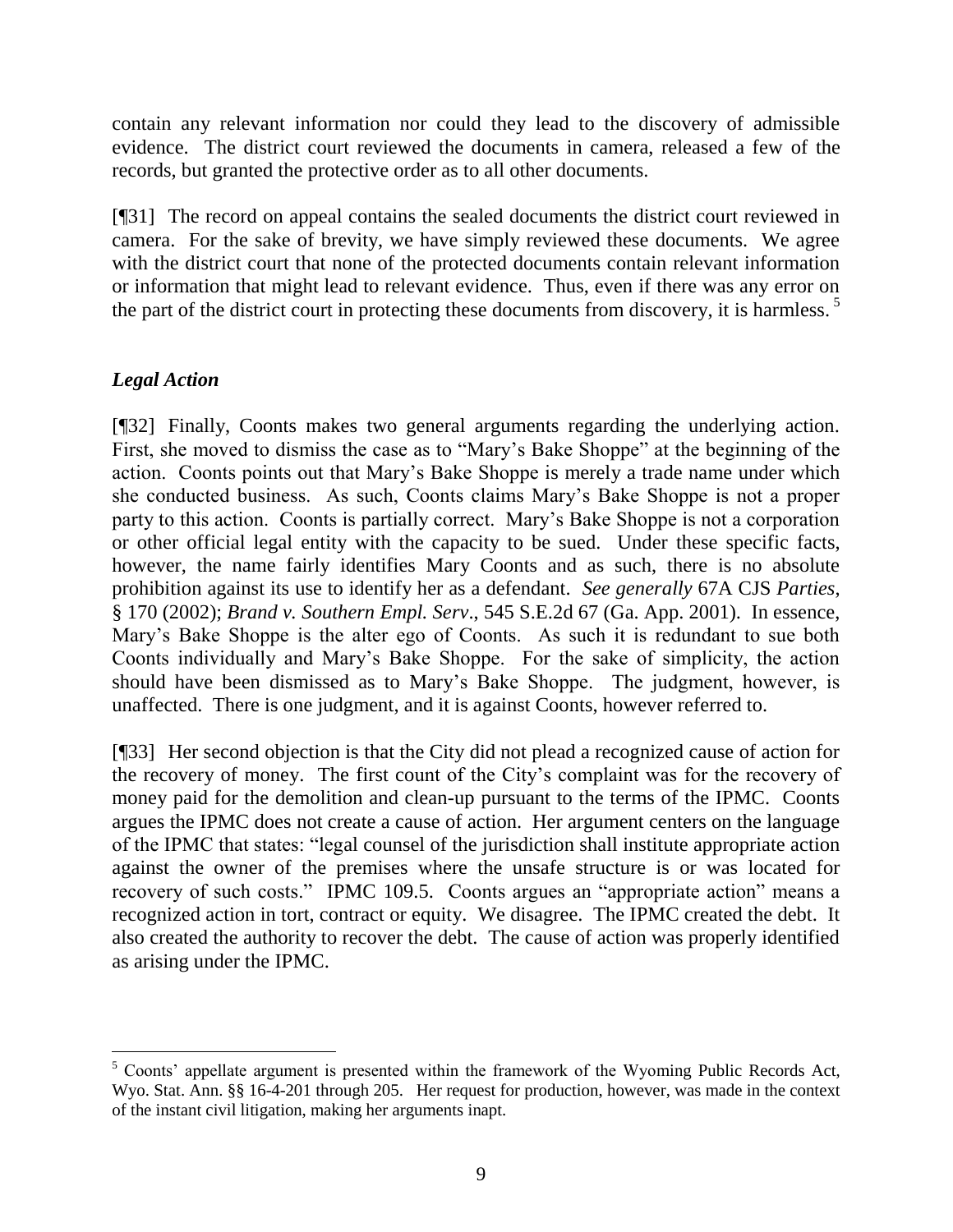contain any relevant information nor could they lead to the discovery of admissible evidence. The district court reviewed the documents in camera, released a few of the records, but granted the protective order as to all other documents.

[¶31] The record on appeal contains the sealed documents the district court reviewed in camera. For the sake of brevity, we have simply reviewed these documents. We agree with the district court that none of the protected documents contain relevant information or information that might lead to relevant evidence. Thus, even if there was any error on the part of the district court in protecting these documents from discovery, it is harmless.<sup>5</sup>

# *Legal Action*

[¶32] Finally, Coonts makes two general arguments regarding the underlying action. First, she moved to dismiss the case as to "Mary's Bake Shoppe" at the beginning of the action. Coonts points out that Mary's Bake Shoppe is merely a trade name under which she conducted business. As such, Coonts claims Mary's Bake Shoppe is not a proper party to this action. Coonts is partially correct. Mary's Bake Shoppe is not a corporation or other official legal entity with the capacity to be sued. Under these specific facts, however, the name fairly identifies Mary Coonts and as such, there is no absolute prohibition against its use to identify her as a defendant. *See generally* 67A CJS *Parties*, § 170 (2002); *Brand v. Southern Empl. Serv*., 545 S.E.2d 67 (Ga. App. 2001). In essence, Mary's Bake Shoppe is the alter ego of Coonts. As such it is redundant to sue both Coonts individually and Mary's Bake Shoppe. For the sake of simplicity, the action should have been dismissed as to Mary's Bake Shoppe. The judgment, however, is unaffected. There is one judgment, and it is against Coonts, however referred to.

[¶33] Her second objection is that the City did not plead a recognized cause of action for the recovery of money. The first count of the City's complaint was for the recovery of money paid for the demolition and clean-up pursuant to the terms of the IPMC. Coonts argues the IPMC does not create a cause of action. Her argument centers on the language of the IPMC that states: "legal counsel of the jurisdiction shall institute appropriate action against the owner of the premises where the unsafe structure is or was located for recovery of such costs." IPMC 109.5. Coonts argues an "appropriate action" means a recognized action in tort, contract or equity. We disagree. The IPMC created the debt. It also created the authority to recover the debt. The cause of action was properly identified as arising under the IPMC.

<sup>&</sup>lt;sup>5</sup> Coonts' appellate argument is presented within the framework of the Wyoming Public Records Act, Wyo. Stat. Ann. §§ 16-4-201 through 205. Her request for production, however, was made in the context of the instant civil litigation, making her arguments inapt.